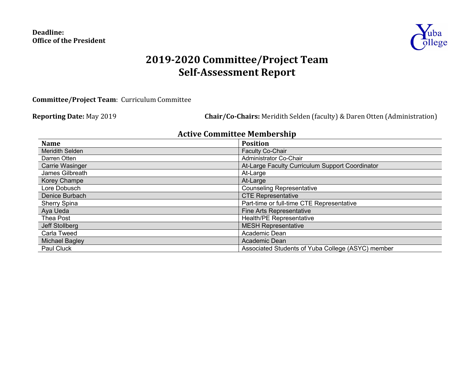## **Deadline: Office of the President**



# **2019-2020 Committee/Project Team Self-Assessment Report**

**Committee/Project Team:** Curriculum Committee

**Reporting Date:** May 2019 **Chair/Co-Chairs:** Meridith Selden (faculty) & Daren Otten (Administration)

## **Active Committee Membership**

| <b>Name</b>            | <b>Position</b>                                   |
|------------------------|---------------------------------------------------|
| <b>Meridith Selden</b> | <b>Faculty Co-Chair</b>                           |
| Darren Otten           | Administrator Co-Chair                            |
| Carrie Wasinger        | At-Large Faculty Curriculum Support Coordinator   |
| James Gilbreath        | At-Large                                          |
| <b>Korey Champe</b>    | At-Large                                          |
| Lore Dobusch           | <b>Counseling Representative</b>                  |
| Denice Burbach         | <b>CTE Representative</b>                         |
| <b>Sherry Spina</b>    | Part-time or full-time CTE Representative         |
| Aya Ueda               | <b>Fine Arts Representative</b>                   |
| <b>Thea Post</b>       | <b>Health/PE Representative</b>                   |
| <b>Jeff Stollberg</b>  | <b>MESH Representative</b>                        |
| Carla Tweed            | Academic Dean                                     |
| <b>Michael Bagley</b>  | Academic Dean                                     |
| <b>Paul Cluck</b>      | Associated Students of Yuba College (ASYC) member |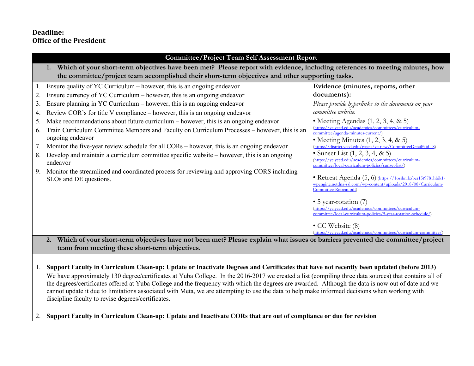## **Deadline: Office of the President**

|    | <b>Committee/Project Team Self Assessment Report</b>                                                                                                                                                    |                                                                                                                         |  |  |  |
|----|---------------------------------------------------------------------------------------------------------------------------------------------------------------------------------------------------------|-------------------------------------------------------------------------------------------------------------------------|--|--|--|
|    | Which of your short-term objectives have been met? Please report with evidence, including references to meeting minutes, how                                                                            |                                                                                                                         |  |  |  |
|    | the committee/project team accomplished their short-term objectives and other supporting tasks.                                                                                                         |                                                                                                                         |  |  |  |
|    | Ensure quality of YC Curriculum $-$ however, this is an ongoing endeavor                                                                                                                                | Evidence (minutes, reports, other                                                                                       |  |  |  |
| 2. | Ensure currency of YC Curriculum – however, this is an ongoing endeavor                                                                                                                                 | documents):                                                                                                             |  |  |  |
| 3. | Ensure planning in YC Curriculum $-$ however, this is an ongoing endeavor                                                                                                                               | Please provide hyperlinks to the documents on your                                                                      |  |  |  |
| 4. | Review COR's for title V compliance – however, this is an ongoing endeavor                                                                                                                              | committee website.                                                                                                      |  |  |  |
| 5. | Make recommendations about future curriculum $-$ however, this is an ongoing endeavor                                                                                                                   | • Meeting Agendas $(1, 2, 3, 4, \& 5)$                                                                                  |  |  |  |
| 6. | Train Curriculum Committee Members and Faculty on Curriculum Processes – however, this is an                                                                                                            | (https://yc.yccd.edu/academics/committees/curriculum-<br>committee/agenda-minutes-current/)                             |  |  |  |
|    | ongoing endeavor                                                                                                                                                                                        | • Meeting Minutes $(1, 2, 3, 4, \& 5)$                                                                                  |  |  |  |
| 7. | Monitor the five-year review schedule for all CORs – however, this is an ongoing endeavor                                                                                                               | (https://district.yccd.edu/pages/yc-new/CommitteeDetail?aid=8)                                                          |  |  |  |
| 8. | Develop and maintain a curriculum committee specific website – however, this is an ongoing                                                                                                              | • Sunset List $(1, 2, 3, 4, \& 5)$<br>(https://yc.yccd.edu/academics/committees/curriculum-                             |  |  |  |
|    | endeavor                                                                                                                                                                                                | committee/local-curriculum-policies/sunset-list/                                                                        |  |  |  |
| 9. | Monitor the streamlined and coordinated process for reviewing and approving CORS including                                                                                                              | • Retreat Agenda (5, 6) (https://1osjhr1kzber15t9781hbik1-                                                              |  |  |  |
|    | SLOs and DE questions.                                                                                                                                                                                  | wpengine.netdna-ssl.com/wp-content/uploads/2018/08/Curriculum-                                                          |  |  |  |
|    |                                                                                                                                                                                                         | Committee-Retreat.pdf)                                                                                                  |  |  |  |
|    |                                                                                                                                                                                                         | • 5 year-rotation (7)                                                                                                   |  |  |  |
|    |                                                                                                                                                                                                         | (https://vc.vccd.edu/academics/committees/curriculum-<br>committee/local-curriculum-policies/5-year-rotation-schedule/) |  |  |  |
|    |                                                                                                                                                                                                         |                                                                                                                         |  |  |  |
|    |                                                                                                                                                                                                         | • CC Website (8)                                                                                                        |  |  |  |
|    | (https://vc.vccd.edu/academics/committees/curriculum-committee/)<br>Which of your short-term objectives have not been met? Please explain what issues or barriers prevented the committee/project<br>2. |                                                                                                                         |  |  |  |

**team from meeting these short-term objectives.**

1. **Support Faculty in Curriculum Clean-up: Update or Inactivate Degrees and Certificates that have not recently been updated (before 2013)** We have approximately 130 degree/certificates at Yuba College. In the 2016-2017 we created a list (compiling three data sources) that contains all of the degrees/certificates offered at Yuba College and the frequency with which the degrees are awarded. Although the data is now out of date and we cannot update it due to limitations associated with Meta, we are attempting to use the data to help make informed decisions when working with discipline faculty to revise degrees/certificates.

2. **Support Faculty in Curriculum Clean-up: Update and Inactivate CORs that are out of compliance or due for revision**